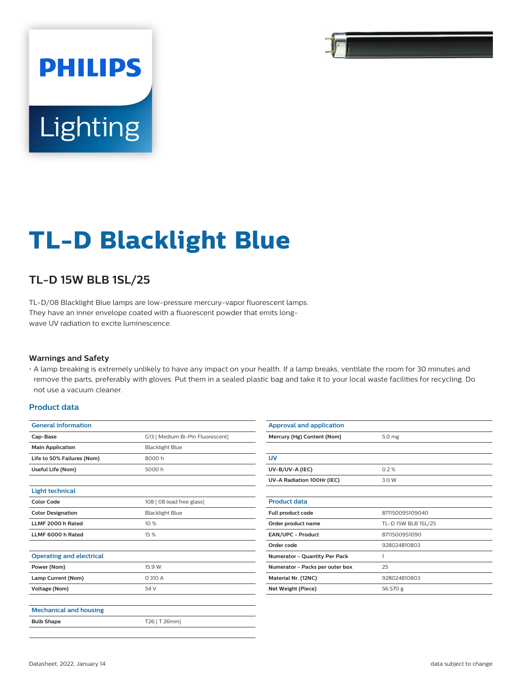# **PHILIPS** Lighting

# **TL-D Blacklight Blue**

## **TL-D 15W BLB 1SL/25**

TL-D/08 Blacklight Blue lamps are low-pressure mercury-vapor fluorescent lamps. They have an inner envelope coated with a fluorescent powder that emits longwave UV radiation to excite luminescence.

#### **Warnings and Safety**

• A lamp breaking is extremely unlikely to have any impact on your health. If a lamp breaks, ventilate the room for 30 minutes and remove the parts, preferably with gloves. Put them in a sealed plastic bag and take it to your local waste facilities for recycling. Do not use a vacuum cleaner.

#### **Product data**

| <b>General information</b>      |                                                            |  |  |  |
|---------------------------------|------------------------------------------------------------|--|--|--|
| Cap-Base                        | G13   Medium Bi-Pin Fluorescent]<br><b>Blacklight Blue</b> |  |  |  |
| <b>Main Application</b>         |                                                            |  |  |  |
| Life to 50% Failures (Nom)      | 8000h                                                      |  |  |  |
| Useful Life (Nom)               | 5000 h                                                     |  |  |  |
|                                 |                                                            |  |  |  |
| <b>Light technical</b>          |                                                            |  |  |  |
| <b>Color Code</b>               | 108 [ 08 lead free glass]                                  |  |  |  |
| <b>Color Designation</b>        | <b>Blacklight Blue</b>                                     |  |  |  |
| LLMF 2000 h Rated               | 10 %                                                       |  |  |  |
| LLMF 6000 h Rated               | 15 %                                                       |  |  |  |
|                                 |                                                            |  |  |  |
| <b>Operating and electrical</b> |                                                            |  |  |  |
| Power (Nom)                     | 15.9 W                                                     |  |  |  |
| Lamp Current (Nom)              | 0.310 A                                                    |  |  |  |
| Voltage (Nom)                   | 54 V                                                       |  |  |  |
|                                 |                                                            |  |  |  |
| <b>Mechanical and housing</b>   |                                                            |  |  |  |
| <b>Bulb Shape</b>               | T26   T 26mm]                                              |  |  |  |
|                                 |                                                            |  |  |  |

| <b>Approval and application</b>      |                     |  |  |  |  |
|--------------------------------------|---------------------|--|--|--|--|
| Mercury (Hg) Content (Nom)           | 5.0 mg              |  |  |  |  |
|                                      |                     |  |  |  |  |
| UV                                   |                     |  |  |  |  |
| UV-B/UV-A (IEC)                      | 0.2%                |  |  |  |  |
| UV-A Radiation 100Hr (IEC)           | 3.0 W               |  |  |  |  |
|                                      |                     |  |  |  |  |
| <b>Product data</b>                  |                     |  |  |  |  |
| Full product code                    | 871150095109040     |  |  |  |  |
| Order product name                   | TL-D 15W BLB 1SL/25 |  |  |  |  |
| <b>EAN/UPC - Product</b>             | 8711500951090       |  |  |  |  |
| Order code                           | 928024810803        |  |  |  |  |
| <b>Numerator - Quantity Per Pack</b> | 1                   |  |  |  |  |
| Numerator - Packs per outer box      | 25                  |  |  |  |  |
| Material Nr. (12NC)                  | 928024810803        |  |  |  |  |
| Net Weight (Piece)                   | 56.570 g            |  |  |  |  |
|                                      |                     |  |  |  |  |